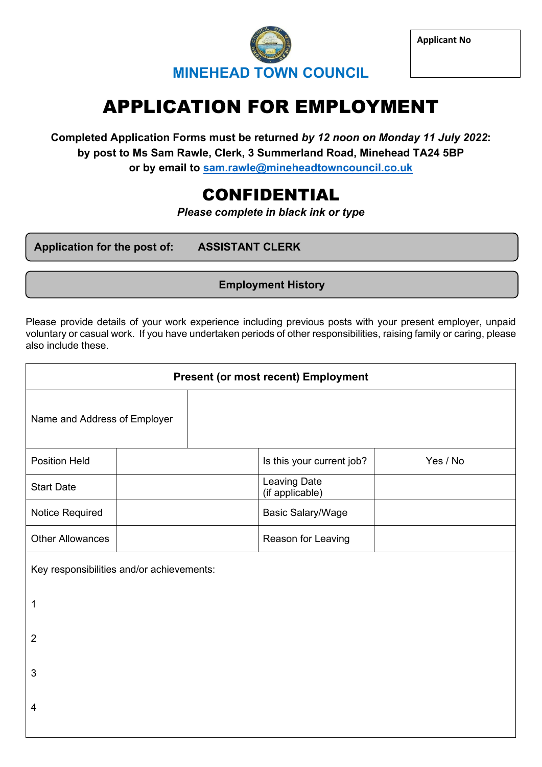

**Applicant No**

# APPLICATION FOR EMPLOYMENT

**Completed Application Forms must be returned** *by 12 noon on Monday 11 July 2022***: by post to Ms Sam Rawle, Clerk, 3 Summerland Road, Minehead TA24 5BP or by email to [sam.rawle@mineheadtowncouncil.co.uk](mailto:sam.rawle@mineheadtowncouncil.co.uk)**

# CONFIDENTIAL

*Please complete in black ink or type*

**Application for the post of: ASSISTANT CLERK** 

**Employment History**

Please provide details of your work experience including previous posts with your present employer, unpaid voluntary or casual work. If you have undertaken periods of other responsibilities, raising family or caring, please also include these.

| <b>Present (or most recent) Employment</b> |  |  |                                 |          |
|--------------------------------------------|--|--|---------------------------------|----------|
| Name and Address of Employer               |  |  |                                 |          |
| <b>Position Held</b>                       |  |  | Is this your current job?       | Yes / No |
| <b>Start Date</b>                          |  |  | Leaving Date<br>(if applicable) |          |
| Notice Required                            |  |  | <b>Basic Salary/Wage</b>        |          |
| <b>Other Allowances</b>                    |  |  | Reason for Leaving              |          |
| Key responsibilities and/or achievements:  |  |  |                                 |          |
| 1                                          |  |  |                                 |          |
| $\overline{2}$                             |  |  |                                 |          |
| 3                                          |  |  |                                 |          |
| 4                                          |  |  |                                 |          |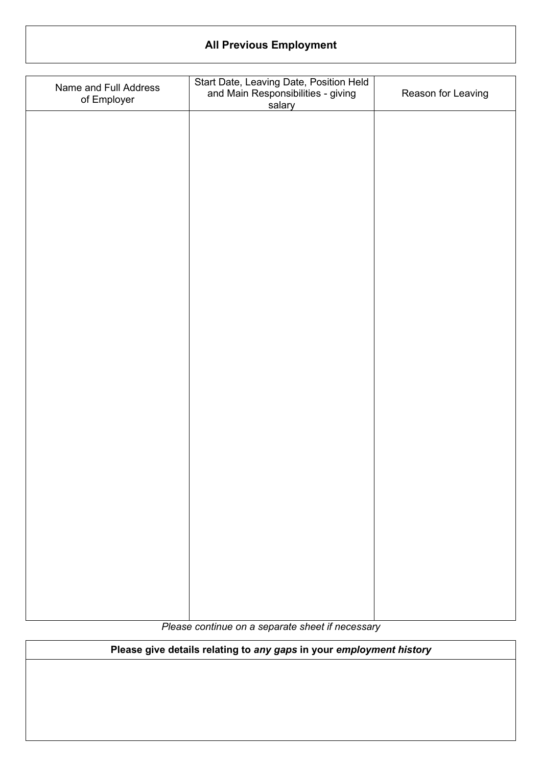# **All Previous Employment**

| Name and Full Address<br>of Employer | Start Date, Leaving Date, Position Held<br>and Main Responsibilities - giving<br>salary | Reason for Leaving |
|--------------------------------------|-----------------------------------------------------------------------------------------|--------------------|
|                                      |                                                                                         |                    |
|                                      |                                                                                         |                    |
|                                      |                                                                                         |                    |
|                                      |                                                                                         |                    |
|                                      |                                                                                         |                    |
|                                      |                                                                                         |                    |
|                                      |                                                                                         |                    |
|                                      |                                                                                         |                    |
|                                      |                                                                                         |                    |
|                                      |                                                                                         |                    |
|                                      |                                                                                         |                    |
|                                      |                                                                                         |                    |
|                                      |                                                                                         |                    |
|                                      |                                                                                         |                    |
|                                      |                                                                                         |                    |
|                                      |                                                                                         |                    |

*Please continue on a separate sheet if necessary*

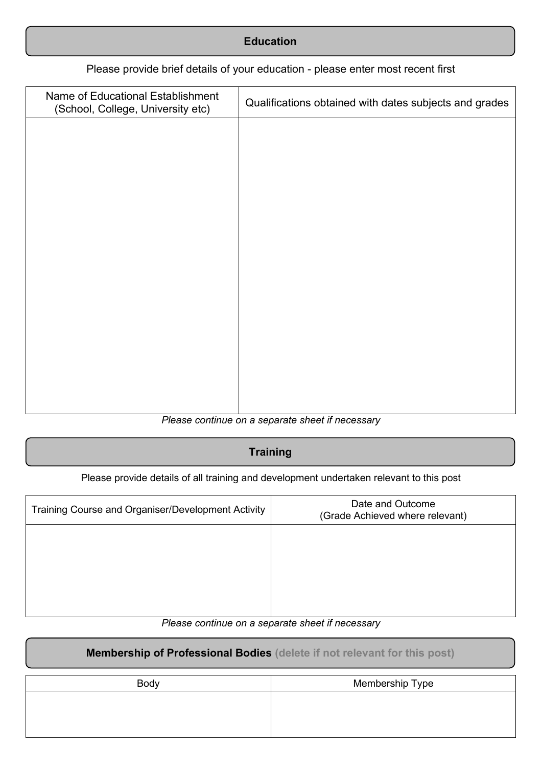| <b>Education</b> |
|------------------|
|                  |

#### Please provide brief details of your education - please enter most recent first

| Name of Educational Establishment<br>(School, College, University etc) | Qualifications obtained with dates subjects and grades |
|------------------------------------------------------------------------|--------------------------------------------------------|
|                                                                        |                                                        |
|                                                                        |                                                        |
|                                                                        |                                                        |
|                                                                        |                                                        |
|                                                                        |                                                        |
|                                                                        |                                                        |
|                                                                        |                                                        |
|                                                                        |                                                        |
|                                                                        |                                                        |
|                                                                        |                                                        |

#### *Please continue on a separate sheet if necessary*

#### **Training**

Please provide details of all training and development undertaken relevant to this post

| Training Course and Organiser/Development Activity | Date and Outcome<br>(Grade Achieved where relevant) |
|----------------------------------------------------|-----------------------------------------------------|
|                                                    |                                                     |
|                                                    |                                                     |
|                                                    |                                                     |
|                                                    |                                                     |

#### *Please continue on a separate sheet if necessary*

## **Membership of Professional Bodies (delete if not relevant for this post)**

| Body | Membership Type |
|------|-----------------|
|      |                 |
|      |                 |
|      |                 |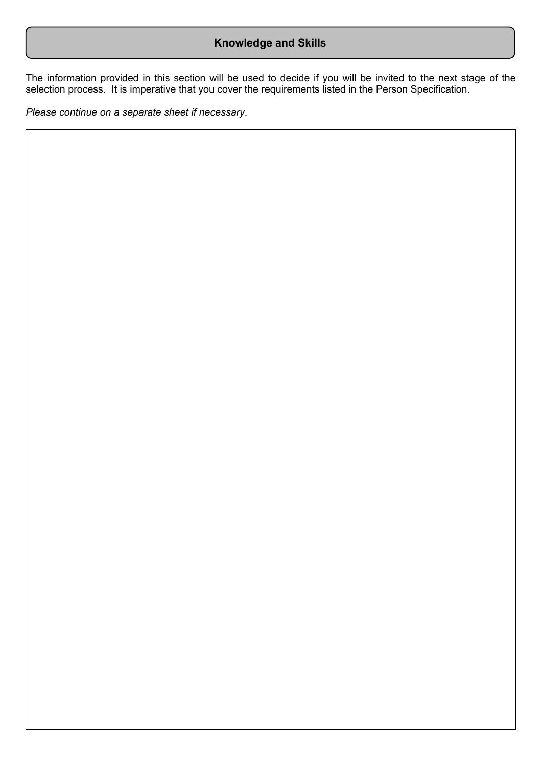## **Knowledge and Skills**

The information provided in this section will be used to decide if you will be invited to the next stage of the selection process. It is imperative that you cover the requirements listed in the Person Specification.

*Please continue on a separate sheet if necessary*.